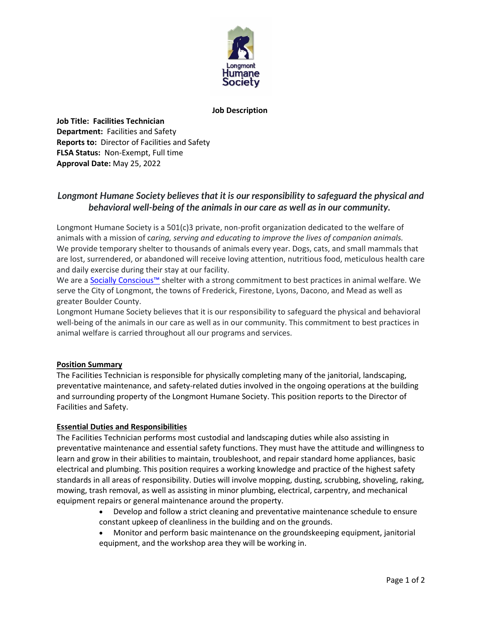

### **Job Description**

**Job Title: Facilities Technician Department:** Facilities and Safety **Reports to:** Director of Facilities and Safety **FLSA Status:** Non-Exempt, Full time **Approval Date:** May 25, 2022

# *Longmont Humane Society believes that it is our responsibility to safeguard the physical and behavioral well-being of the animals in our care as well as in our community.*

Longmont Humane Society is a 501(c)3 private, non-profit organization dedicated to the welfare of animals with a mission of c*aring, serving and educating to improve the lives of companion animals.* We provide temporary shelter to thousands of animals every year. Dogs, cats, and small mammals that are lost, surrendered, or abandoned will receive loving attention, nutritious food, meticulous health care and daily exercise during their stay at our facility.

We are a [Socially Conscious™](http://scsheltering.org/) shelter with a strong commitment to best practices in animal welfare. We serve the City of Longmont, the towns of Frederick, Firestone, Lyons, Dacono, and Mead as well as greater Boulder County.

Longmont Humane Society believes that it is our responsibility to safeguard the physical and behavioral well-being of the animals in our care as well as in our community. This commitment to best practices in animal welfare is carried throughout all our programs and services.

## **Position Summary**

The Facilities Technician is responsible for physically completing many of the janitorial, landscaping, preventative maintenance, and safety-related duties involved in the ongoing operations at the building and surrounding property of the Longmont Humane Society. This position reports to the Director of Facilities and Safety.

## **Essential Duties and Responsibilities**

The Facilities Technician performs most custodial and landscaping duties while also assisting in preventative maintenance and essential safety functions. They must have the attitude and willingness to learn and grow in their abilities to maintain, troubleshoot, and repair standard home appliances, basic electrical and plumbing. This position requires a working knowledge and practice of the highest safety standards in all areas of responsibility. Duties will involve mopping, dusting, scrubbing, shoveling, raking, mowing, trash removal, as well as assisting in minor plumbing, electrical, carpentry, and mechanical equipment repairs or general maintenance around the property.

- Develop and follow a strict cleaning and preventative maintenance schedule to ensure constant upkeep of cleanliness in the building and on the grounds.
- Monitor and perform basic maintenance on the groundskeeping equipment, janitorial equipment, and the workshop area they will be working in.